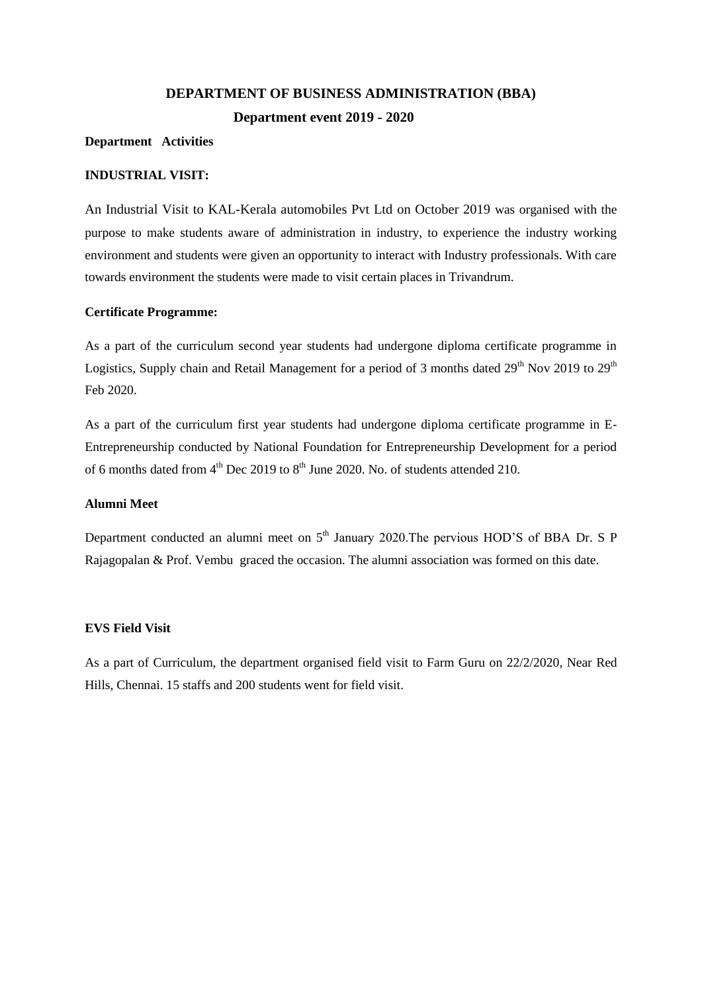# **DEPARTMENT OF BUSINESS ADMINISTRATION (BBA) Department event 2019 - 2020**

#### **Department Activities**

## **INDUSTRIAL VISIT:**

An Industrial Visit to KAL-Kerala automobiles Pvt Ltd on October 2019 was organised with the purpose to make students aware of administration in industry, to experience the industry working environment and students were given an opportunity to interact with Industry professionals. With care towards environment the students were made to visit certain places in Trivandrum.

#### **Certificate Programme:**

As a part of the curriculum second year students had undergone diploma certificate programme in Logistics, Supply chain and Retail Management for a period of 3 months dated 29<sup>th</sup> Nov 2019 to 29<sup>th</sup> Feb 2020.

As a part of the curriculum first year students had undergone diploma certificate programme in E-Entrepreneurship conducted by National Foundation for Entrepreneurship Development for a period of 6 months dated from  $4<sup>th</sup>$  Dec 2019 to  $8<sup>th</sup>$  June 2020. No. of students attended 210.

#### **Alumni Meet**

Department conducted an alumni meet on  $5<sup>th</sup>$  January 2020. The pervious HOD'S of BBA Dr. S P Rajagopalan & Prof. Vembu graced the occasion. The alumni association was formed on this date.

#### **EVS Field Visit**

As a part of Curriculum, the department organised field visit to Farm Guru on 22/2/2020, Near Red Hills, Chennai. 15 staffs and 200 students went for field visit.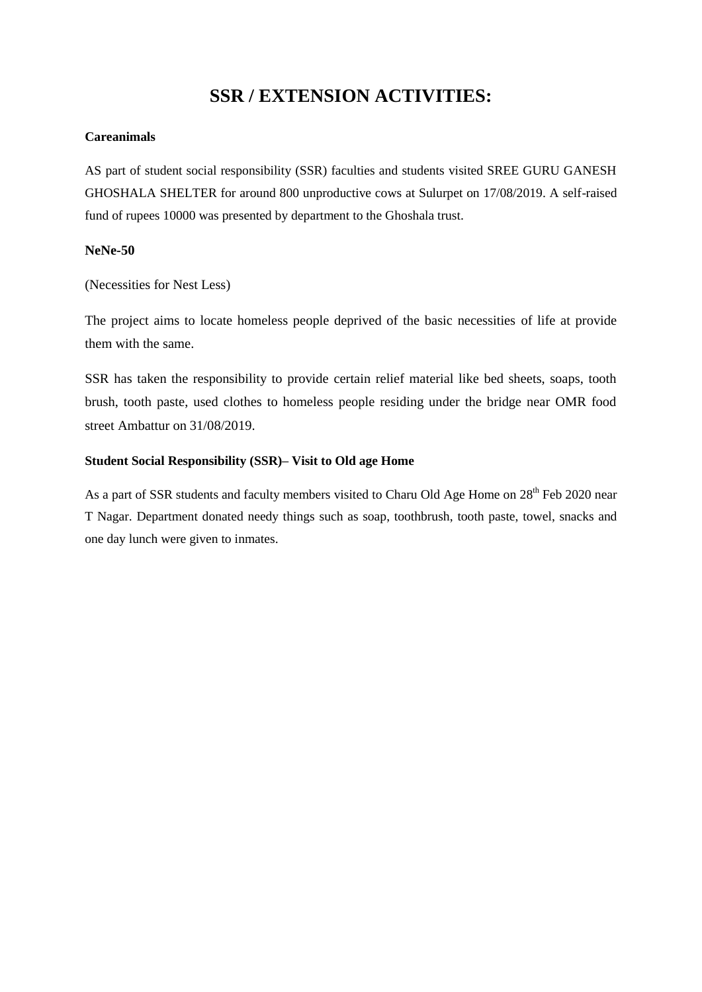# **SSR / EXTENSION ACTIVITIES:**

# **Careanimals**

AS part of student social responsibility (SSR) faculties and students visited SREE GURU GANESH GHOSHALA SHELTER for around 800 unproductive cows at Sulurpet on 17/08/2019. A self-raised fund of rupees 10000 was presented by department to the Ghoshala trust.

## **NeNe-50**

(Necessities for Nest Less)

The project aims to locate homeless people deprived of the basic necessities of life at provide them with the same.

SSR has taken the responsibility to provide certain relief material like bed sheets, soaps, tooth brush, tooth paste, used clothes to homeless people residing under the bridge near OMR food street Ambattur on 31/08/2019.

## **Student Social Responsibility (SSR)– Visit to Old age Home**

As a part of SSR students and faculty members visited to Charu Old Age Home on 28<sup>th</sup> Feb 2020 near T Nagar. Department donated needy things such as soap, toothbrush, tooth paste, towel, snacks and one day lunch were given to inmates.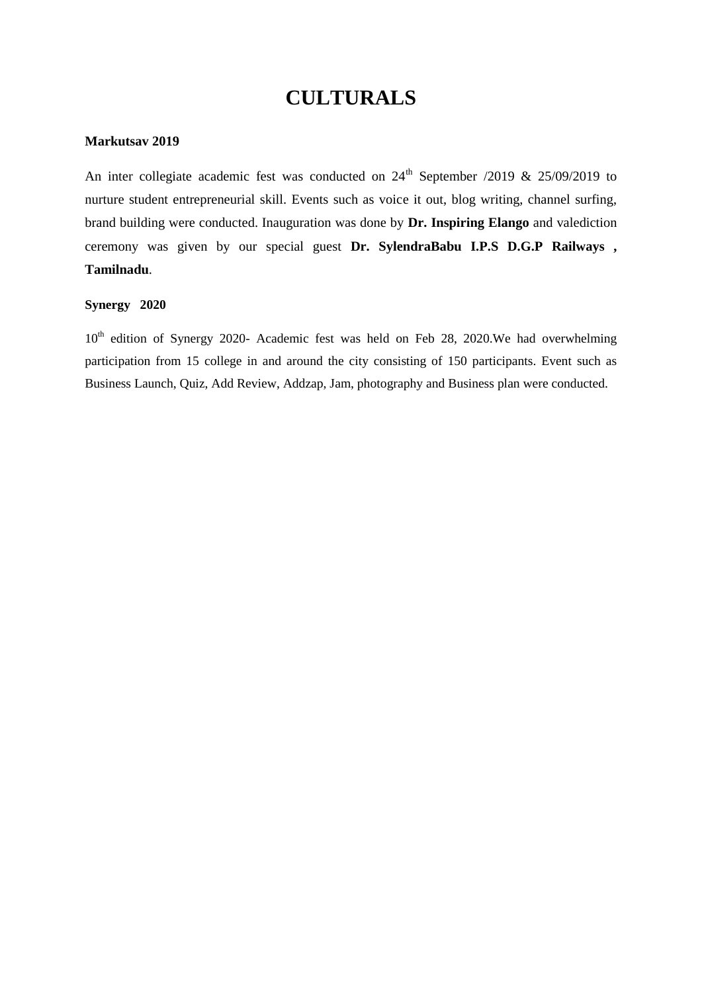# **CULTURALS**

### **Markutsav 2019**

An inter collegiate academic fest was conducted on  $24<sup>th</sup>$  September /2019 & 25/09/2019 to nurture student entrepreneurial skill. Events such as voice it out, blog writing, channel surfing, brand building were conducted. Inauguration was done by **Dr. Inspiring Elango** and valediction ceremony was given by our special guest **Dr. SylendraBabu I.P.S D.G.P Railways , Tamilnadu**.

## **Synergy 2020**

 $10<sup>th</sup>$  edition of Synergy 2020- Academic fest was held on Feb 28, 2020. We had overwhelming participation from 15 college in and around the city consisting of 150 participants. Event such as Business Launch, Quiz, Add Review, Addzap, Jam, photography and Business plan were conducted.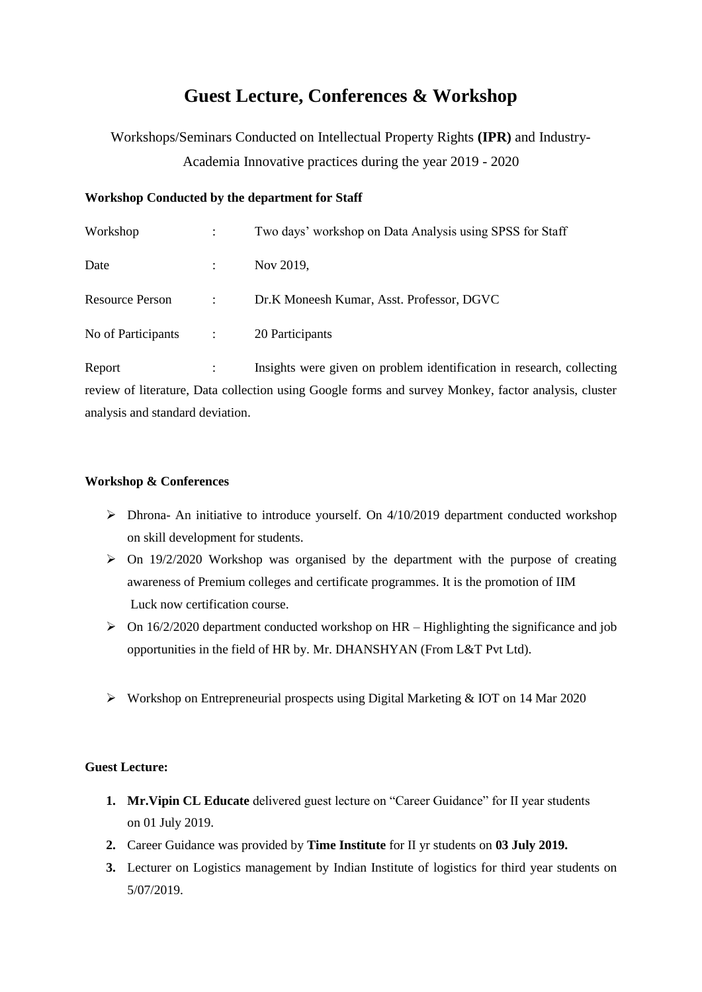# **Guest Lecture, Conferences & Workshop**

Workshops/Seminars Conducted on Intellectual Property Rights **(IPR)** and Industry-Academia Innovative practices during the year 2019 - 2020

#### **Workshop Conducted by the department for Staff**

| $\ddot{\cdot}$       | Two days' workshop on Data Analysis using SPSS for Staff |
|----------------------|----------------------------------------------------------|
| $\ddot{\cdot}$       | Nov 2019,                                                |
| $\ddot{\phantom{a}}$ | Dr.K Moneesh Kumar, Asst. Professor, DGVC                |
| $\ddot{\phantom{a}}$ | 20 Participants                                          |
|                      |                                                          |

Report : Insights were given on problem identification in research, collecting review of literature, Data collection using Google forms and survey Monkey, factor analysis, cluster analysis and standard deviation.

#### **Workshop & Conferences**

- $\triangleright$  Dhrona- An initiative to introduce yourself. On 4/10/2019 department conducted workshop on skill development for students.
- $\triangleright$  On 19/2/2020 Workshop was organised by the department with the purpose of creating awareness of Premium colleges and certificate programmes. It is the promotion of IIM Luck now certification course.
- $\triangleright$  On 16/2/2020 department conducted workshop on HR Highlighting the significance and job opportunities in the field of HR by. Mr. DHANSHYAN (From L&T Pvt Ltd).
- Workshop on Entrepreneurial prospects using Digital Marketing & IOT on 14 Mar 2020

#### **Guest Lecture:**

- **1. Mr.Vipin CL Educate** delivered guest lecture on "Career Guidance" for II year students on 01 July 2019.
- **2.** Career Guidance was provided by **Time Institute** for II yr students on **03 July 2019.**
- **3.** Lecturer on Logistics management by Indian Institute of logistics for third year students on 5/07/2019.